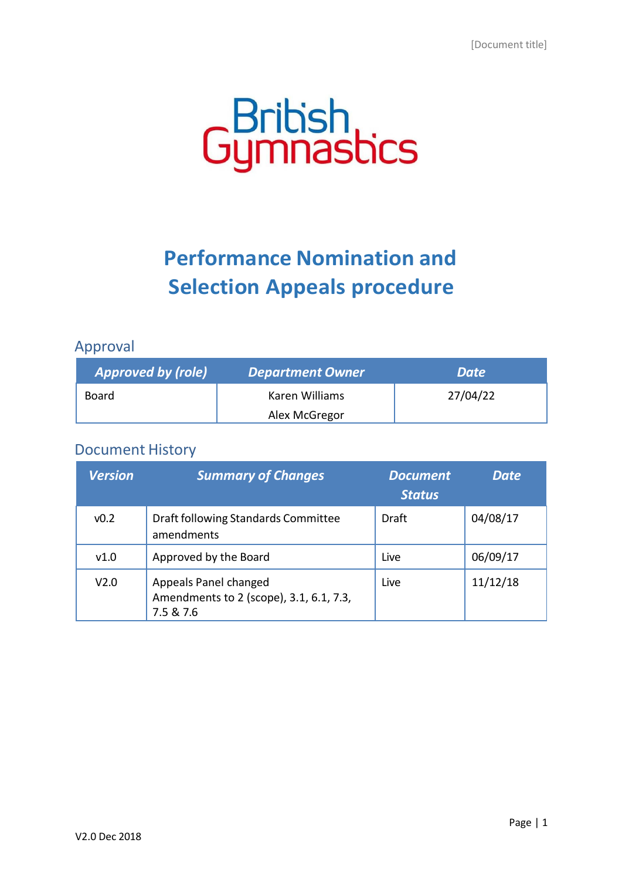

## **Performance Nomination and Selection Appeals procedure**

## Approval

| <b>Approved by (role)</b> | <b>Department Owner</b> | Date     |
|---------------------------|-------------------------|----------|
| Board                     | Karen Williams          | 27/04/22 |
|                           | Alex McGregor           |          |

## Document History

| <b>Version</b>   | <b>Summary of Changes</b>                                                     | <b>Document</b><br><b>Status</b> | <b>Date</b> |
|------------------|-------------------------------------------------------------------------------|----------------------------------|-------------|
| v <sub>0.2</sub> | Draft following Standards Committee<br>amendments                             | <b>Draft</b>                     | 04/08/17    |
| v1.0             | Approved by the Board                                                         | Live                             | 06/09/17    |
| V <sub>2.0</sub> | Appeals Panel changed<br>Amendments to 2 (scope), 3.1, 6.1, 7.3,<br>7.5 & 7.6 | Live                             | 11/12/18    |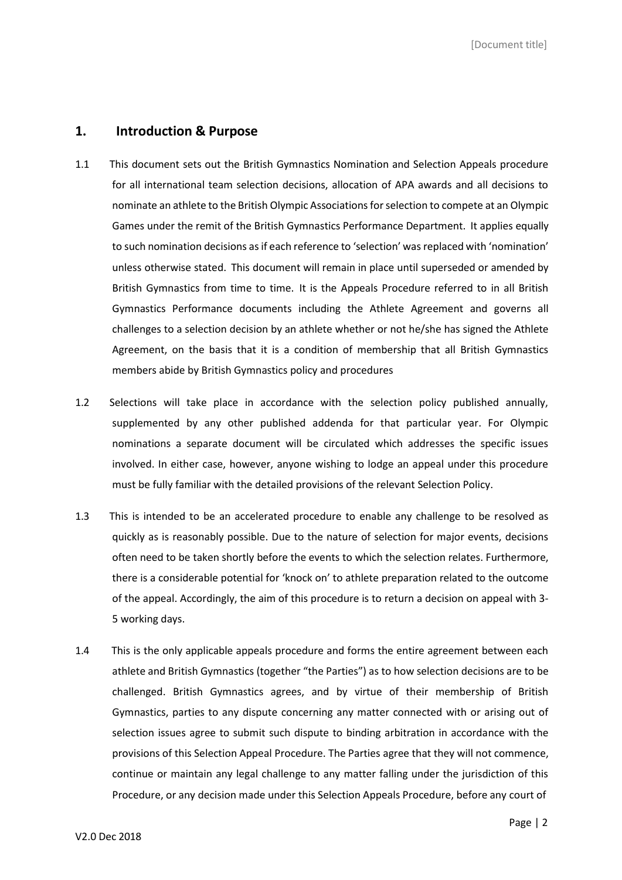#### **1. Introduction & Purpose**

- 1.1 This document sets out the British Gymnastics Nomination and Selection Appeals procedure for all international team selection decisions, allocation of APA awards and all decisions to nominate an athlete to the British Olympic Associationsforselection to compete at an Olympic Games under the remit of the British Gymnastics Performance Department. It applies equally to such nomination decisions as if each reference to 'selection' was replaced with 'nomination' unless otherwise stated. This document will remain in place until superseded or amended by British Gymnastics from time to time. It is the Appeals Procedure referred to in all British Gymnastics Performance documents including the Athlete Agreement and governs all challenges to a selection decision by an athlete whether or not he/she has signed the Athlete Agreement, on the basis that it is a condition of membership that all British Gymnastics members abide by British Gymnastics policy and procedures
- 1.2 Selections will take place in accordance with the selection policy published annually, supplemented by any other published addenda for that particular year. For Olympic nominations a separate document will be circulated which addresses the specific issues involved. In either case, however, anyone wishing to lodge an appeal under this procedure must be fully familiar with the detailed provisions of the relevant Selection Policy.
- 1.3 This is intended to be an accelerated procedure to enable any challenge to be resolved as quickly as is reasonably possible. Due to the nature of selection for major events, decisions often need to be taken shortly before the events to which the selection relates. Furthermore, there is a considerable potential for 'knock on' to athlete preparation related to the outcome of the appeal. Accordingly, the aim of this procedure is to return a decision on appeal with 3- 5 working days.
- 1.4 This is the only applicable appeals procedure and forms the entire agreement between each athlete and British Gymnastics (together "the Parties") as to how selection decisions are to be challenged. British Gymnastics agrees, and by virtue of their membership of British Gymnastics, parties to any dispute concerning any matter connected with or arising out of selection issues agree to submit such dispute to binding arbitration in accordance with the provisions of this Selection Appeal Procedure. The Parties agree that they will not commence, continue or maintain any legal challenge to any matter falling under the jurisdiction of this Procedure, or any decision made under this Selection Appeals Procedure, before any court of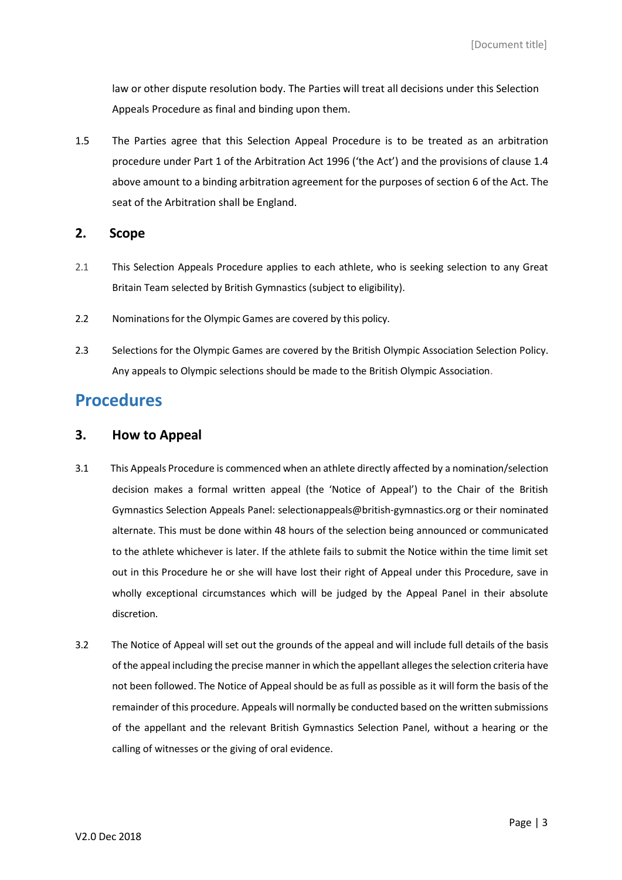law or other dispute resolution body. The Parties will treat all decisions under this Selection Appeals Procedure as final and binding upon them.

1.5 The Parties agree that this Selection Appeal Procedure is to be treated as an arbitration procedure under Part 1 of the Arbitration Act 1996 ('the Act') and the provisions of clause 1.4 above amount to a binding arbitration agreement for the purposes of section 6 of the Act. The seat of the Arbitration shall be England.

#### **2. Scope**

- 2.1 This Selection Appeals Procedure applies to each athlete, who is seeking selection to any Great Britain Team selected by British Gymnastics (subject to eligibility).
- 2.2 Nominations for the Olympic Games are covered by this policy.
- 2.3 Selections for the Olympic Games are covered by the British Olympic Association Selection Policy. Any appeals to Olympic selections should be made to the British Olympic Association.

## **Procedures**

#### **3. How to Appeal**

- 3.1 This Appeals Procedure is commenced when an athlete directly affected by a nomination/selection decision makes a formal written appeal (the 'Notice of Appeal') to the Chair of the British Gymnastics Selection Appeals Panel: [selectionappeals@british-gymnastics.org](mailto:selectionappeals@british-gymnastics.org) or their nominated alternate. This must be done within 48 hours of the selection being announced or communicated to the athlete whichever is later. If the athlete fails to submit the Notice within the time limit set out in this Procedure he or she will have lost their right of Appeal under this Procedure, save in wholly exceptional circumstances which will be judged by the Appeal Panel in their absolute discretion.
- 3.2 The Notice of Appeal will set out the grounds of the appeal and will include full details of the basis of the appeal including the precise manner in which the appellant allegesthe selection criteria have not been followed. The Notice of Appeal should be as full as possible as it will form the basis of the remainder of this procedure. Appeals will normally be conducted based on the written submissions of the appellant and the relevant British Gymnastics Selection Panel, without a hearing or the calling of witnesses or the giving of oral evidence.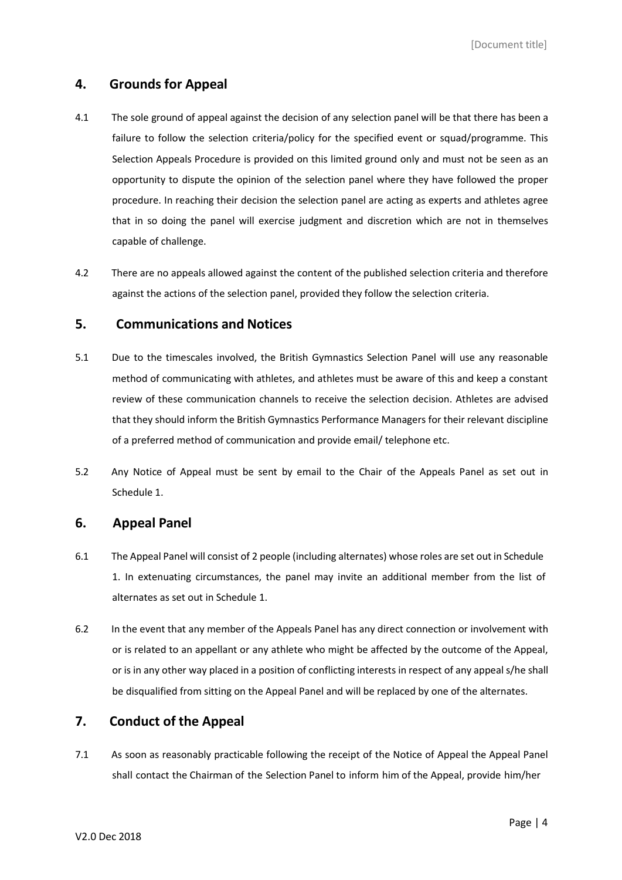#### **4. Grounds for Appeal**

- 4.1 The sole ground of appeal against the decision of any selection panel will be that there has been a failure to follow the selection criteria/policy for the specified event or squad/programme. This Selection Appeals Procedure is provided on this limited ground only and must not be seen as an opportunity to dispute the opinion of the selection panel where they have followed the proper procedure. In reaching their decision the selection panel are acting as experts and athletes agree that in so doing the panel will exercise judgment and discretion which are not in themselves capable of challenge.
- 4.2 There are no appeals allowed against the content of the published selection criteria and therefore against the actions of the selection panel, provided they follow the selection criteria.

#### **5. Communications and Notices**

- 5.1 Due to the timescales involved, the British Gymnastics Selection Panel will use any reasonable method of communicating with athletes, and athletes must be aware of this and keep a constant review of these communication channels to receive the selection decision. Athletes are advised that they should inform the British Gymnastics Performance Managers for their relevant discipline of a preferred method of communication and provide email/ telephone etc.
- 5.2 Any Notice of Appeal must be sent by email to the Chair of the Appeals Panel as set out in Schedule 1.

#### **6. Appeal Panel**

- 6.1 The Appeal Panel will consist of 2 people (including alternates) whose roles are set out in Schedule 1. In extenuating circumstances, the panel may invite an additional member from the list of alternates as set out in Schedule 1.
- 6.2 In the event that any member of the Appeals Panel has any direct connection or involvement with or is related to an appellant or any athlete who might be affected by the outcome of the Appeal, or is in any other way placed in a position of conflicting interests in respect of any appeal s/he shall be disqualified from sitting on the Appeal Panel and will be replaced by one of the alternates.

#### **7. Conduct of the Appeal**

7.1 As soon as reasonably practicable following the receipt of the Notice of Appeal the Appeal Panel shall contact the Chairman of the Selection Panel to inform him of the Appeal, provide him/her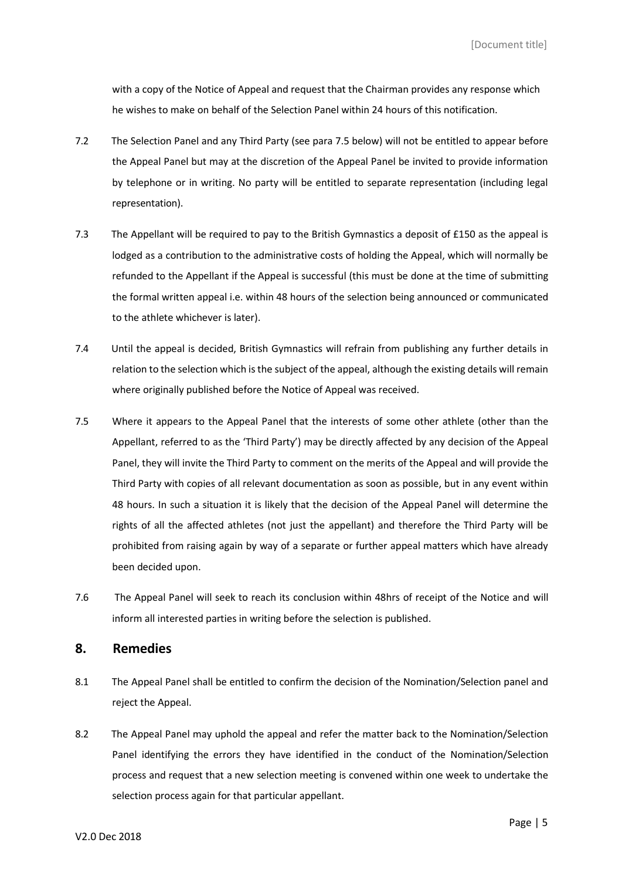with a copy of the Notice of Appeal and request that the Chairman provides any response which he wishes to make on behalf of the Selection Panel within 24 hours of this notification.

- 7.2 The Selection Panel and any Third Party (see para 7.5 below) will not be entitled to appear before the Appeal Panel but may at the discretion of the Appeal Panel be invited to provide information by telephone or in writing. No party will be entitled to separate representation (including legal representation).
- 7.3 The Appellant will be required to pay to the British Gymnastics a deposit of £150 as the appeal is lodged as a contribution to the administrative costs of holding the Appeal, which will normally be refunded to the Appellant if the Appeal is successful (this must be done at the time of submitting the formal written appeal i.e. within 48 hours of the selection being announced or communicated to the athlete whichever is later).
- 7.4 Until the appeal is decided, British Gymnastics will refrain from publishing any further details in relation to the selection which is the subject of the appeal, although the existing details will remain where originally published before the Notice of Appeal was received.
- 7.5 Where it appears to the Appeal Panel that the interests of some other athlete (other than the Appellant, referred to as the 'Third Party') may be directly affected by any decision of the Appeal Panel, they will invite the Third Party to comment on the merits of the Appeal and will provide the Third Party with copies of all relevant documentation as soon as possible, but in any event within 48 hours. In such a situation it is likely that the decision of the Appeal Panel will determine the rights of all the affected athletes (not just the appellant) and therefore the Third Party will be prohibited from raising again by way of a separate or further appeal matters which have already been decided upon.
- 7.6 The Appeal Panel will seek to reach its conclusion within 48hrs of receipt of the Notice and will inform all interested parties in writing before the selection is published.

#### **8. Remedies**

- 8.1 The Appeal Panel shall be entitled to confirm the decision of the Nomination/Selection panel and reject the Appeal.
- 8.2 The Appeal Panel may uphold the appeal and refer the matter back to the Nomination/Selection Panel identifying the errors they have identified in the conduct of the Nomination/Selection process and request that a new selection meeting is convened within one week to undertake the selection process again for that particular appellant.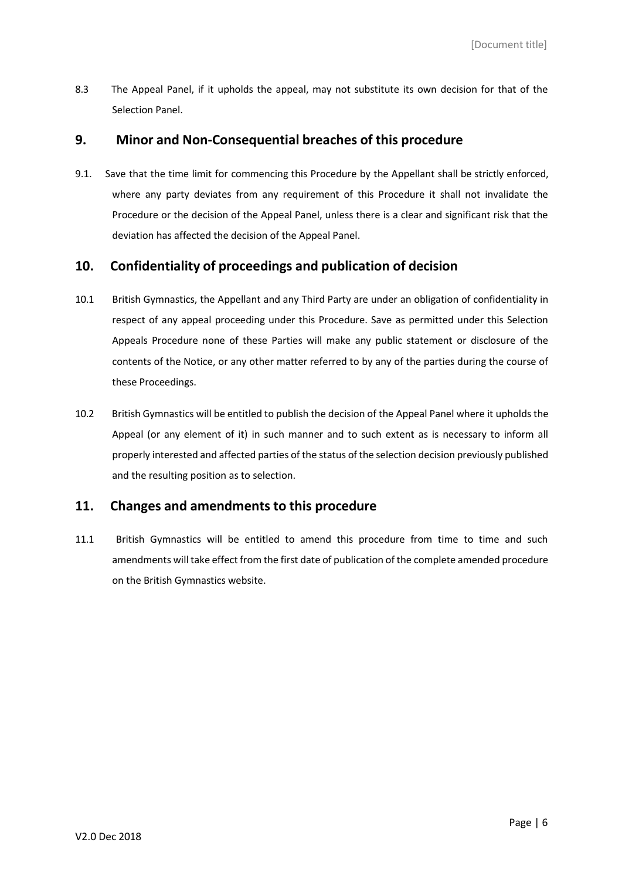8.3 The Appeal Panel, if it upholds the appeal, may not substitute its own decision for that of the Selection Panel.

#### **9. Minor and Non-Consequential breaches of this procedure**

9.1. Save that the time limit for commencing this Procedure by the Appellant shall be strictly enforced, where any party deviates from any requirement of this Procedure it shall not invalidate the Procedure or the decision of the Appeal Panel, unless there is a clear and significant risk that the deviation has affected the decision of the Appeal Panel.

#### **10. Confidentiality of proceedings and publication of decision**

- 10.1 British Gymnastics, the Appellant and any Third Party are under an obligation of confidentiality in respect of any appeal proceeding under this Procedure. Save as permitted under this Selection Appeals Procedure none of these Parties will make any public statement or disclosure of the contents of the Notice, or any other matter referred to by any of the parties during the course of these Proceedings.
- 10.2 British Gymnastics will be entitled to publish the decision of the Appeal Panel where it upholds the Appeal (or any element of it) in such manner and to such extent as is necessary to inform all properly interested and affected parties of the status of the selection decision previously published and the resulting position as to selection.

#### **11. Changes and amendments to this procedure**

11.1 British Gymnastics will be entitled to amend this procedure from time to time and such amendments will take effect from the first date of publication of the complete amended procedure on the British Gymnastics website.